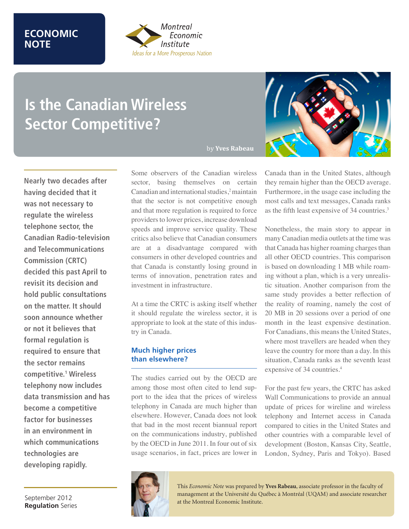## **ECONOMIC NOTE**



# **Is the Canadian Wireless Sector Competitive?**

**Nearly two decades after having decided that it was not necessary to regulate the wireless telephone sector, the Canadian Radio-television and Telecommunications Commission (CRTC) decided this past April to revisit its decision and hold public consultations on the matter. It should soon announce whether or not it believes that formal regulation is required to ensure that the sector remains competitive.1 Wireless telephony now includes data transmission and has become a competitive factor for businesses in an environment in which communications technologies are developing rapidly.**

September 2012 **Regulation** Series

## by **Yves Rabeau**

Some observers of the Canadian wireless sector, basing themselves on certain Canadian and international studies,<sup>2</sup> maintain that the sector is not competitive enough and that more regulation is required to force providers to lower prices, increase download speeds and improve service quality. These critics also believe that Canadian consumers are at a disadvantage compared with consumers in other developed countries and that Canada is constantly losing ground in terms of innovation, penetration rates and investment in infrastructure.

At a time the CRTC is asking itself whether it should regulate the wireless sector, it is appropriate to look at the state of this industry in Canada.

## **Much higher prices than elsewhere?**

The studies carried out by the OECD are among those most often cited to lend support to the idea that the prices of wireless telephony in Canada are much higher than elsewhere. However, Canada does not look that bad in the most recent biannual report on the communications industry, published by the OECD in June 2011. In four out of six usage scenarios, in fact, prices are lower in



Canada than in the United States, although they remain higher than the OECD average. Furthermore, in the usage case including the most calls and text messages, Canada ranks as the fifth least expensive of 34 countries.3

Nonetheless, the main story to appear in many Canadian media outlets at the time was that Canada has higher roaming charges than all other OECD countries. This comparison is based on downloading 1 MB while roaming without a plan, which is a very unrealistic situation. Another comparison from the same study provides a better reflection of the reality of roaming, namely the cost of 20 MB in 20 sessions over a period of one month in the least expensive destination. For Canadians, this means the United States, where most travellers are headed when they leave the country for more than a day. In this situation, Canada ranks as the seventh least expensive of 34 countries.<sup>4</sup>

For the past few years, the CRTC has asked Wall Communications to provide an annual update of prices for wireline and wireless telephony and Internet access in Canada compared to cities in the United States and other countries with a comparable level of development (Boston, Kansas City, Seattle, London, Sydney, Paris and Tokyo). Based



This *Economic Note* was prepared by **Yves Rabeau**, associate professor in the faculty of management at the Université du Québec à Montréal (UQAM) and associate researcher at the Montreal Economic Institute.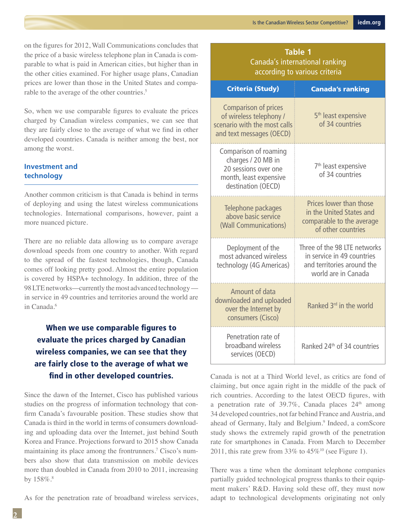on the figures for 2012, Wall Communications concludes that the price of a basic wireless telephone plan in Canada is comparable to what is paid in American cities, but higher than in the other cities examined. For higher usage plans, Canadian prices are lower than those in the United States and comparable to the average of the other countries.<sup>5</sup>

So, when we use comparable figures to evaluate the prices charged by Canadian wireless companies, we can see that they are fairly close to the average of what we find in other developed countries. Canada is neither among the best, nor among the worst.

## **Investment and technology**

Another common criticism is that Canada is behind in terms of deploying and using the latest wireless communications technologies. International comparisons, however, paint a more nuanced picture.

There are no reliable data allowing us to compare average download speeds from one country to another. With regard to the spread of the fastest technologies, though, Canada comes off looking pretty good. Almost the entire population is covered by HSPA+ technology. In addition, three of the 98 LTE networks—currently the most advanced technology in service in 49 countries and territories around the world are in Canada.6

# When we use comparable figures to evaluate the prices charged by Canadian wireless companies, we can see that they are fairly close to the average of what we find in other developed countries.

Since the dawn of the Internet, Cisco has published various studies on the progress of information technology that confirm Canada's favourable position. These studies show that Canada is third in the world in terms of consumers downloading and uploading data over the Internet, just behind South Korea and France. Projections forward to 2015 show Canada maintaining its place among the frontrunners.7 Cisco's numbers also show that data transmission on mobile devices more than doubled in Canada from 2010 to 2011, increasing by  $158\%$ .<sup>8</sup>

As for the penetration rate of broadband wireless services,

## **Table 1** Canada's international ranking according to various criteria

| <b>Criteria (Study)</b>                                                                                             | <b>Canada's ranking</b>                                                                                         |
|---------------------------------------------------------------------------------------------------------------------|-----------------------------------------------------------------------------------------------------------------|
| Comparison of prices<br>of wireless telephony /<br>scenario with the most calls<br>and text messages (OECD)         | 5 <sup>th</sup> least expensive<br>of 34 countries                                                              |
| Comparison of roaming<br>charges / 20 MB in<br>20 sessions over one<br>month, least expensive<br>destination (OECD) | 7 <sup>th</sup> least expensive<br>of 34 countries                                                              |
| Telephone packages<br>above basic service<br>(Wall Communications)                                                  | Prices lower than those<br>in the United States and<br>comparable to the average<br>of other countries          |
| Deployment of the<br>most advanced wireless<br>technology (4G Americas)                                             | Three of the 98 LTE networks<br>in service in 49 countries<br>and territories around the<br>world are in Canada |
| Amount of data<br>downloaded and uploaded<br>over the Internet by<br>consumers (Cisco)                              | Ranked 3 <sup>rd</sup> in the world                                                                             |
| Penetration rate of<br>broadband wireless<br>services (OECD)                                                        | Ranked 24 <sup>th</sup> of 34 countries                                                                         |

Canada is not at a Third World level, as critics are fond of claiming, but once again right in the middle of the pack of rich countries. According to the latest OECD figures, with a penetration rate of 39.7%, Canada places  $24<sup>th</sup>$  among 34 developed countries, not far behind France and Austria, and ahead of Germany, Italy and Belgium.<sup>9</sup> Indeed, a comScore study shows the extremely rapid growth of the penetration rate for smartphones in Canada. From March to December 2011, this rate grew from 33% to  $45\%$ <sup>10</sup> (see Figure 1).

There was a time when the dominant telephone companies partially guided technological progress thanks to their equipment makers' R&D. Having sold these off, they must now adapt to technological developments originating not only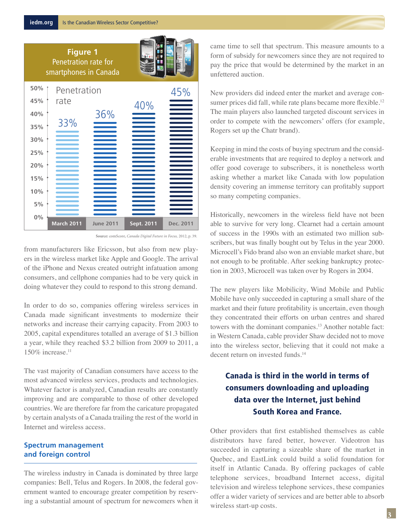**Figure 1** Penetration rate for smartphones in Canada



**Source:** comScore, *Canada Digital Future in Focus,* 2012, p. 39.

from manufacturers like Ericsson, but also from new players in the wireless market like Apple and Google. The arrival of the iPhone and Nexus created outright infatuation among consumers, and cellphone companies had to be very quick in doing whatever they could to respond to this strong demand.

In order to do so, companies offering wireless services in Canada made significant investments to modernize their networks and increase their carrying capacity. From 2003 to 2005, capital expenditures totalled an average of \$1.3 billion a year, while they reached \$3.2 billion from 2009 to 2011, a  $150\%$  increase.<sup>11</sup>

The vast majority of Canadian consumers have access to the most advanced wireless services, products and technologies. Whatever factor is analyzed, Canadian results are constantly improving and are comparable to those of other developed countries. We are therefore far from the caricature propagated by certain analysts of a Canada trailing the rest of the world in Internet and wireless access.

## **Spectrum management and foreign control**

The wireless industry in Canada is dominated by three large companies: Bell, Telus and Rogers. In 2008, the federal government wanted to encourage greater competition by reserving a substantial amount of spectrum for newcomers when it came time to sell that spectrum. This measure amounts to a form of subsidy for newcomers since they are not required to pay the price that would be determined by the market in an unfettered auction.

New providers did indeed enter the market and average consumer prices did fall, while rate plans became more flexible.<sup>12</sup> The main players also launched targeted discount services in order to compete with the newcomers' offers (for example, Rogers set up the Chatr brand).

Keeping in mind the costs of buying spectrum and the considerable investments that are required to deploy a network and offer good coverage to subscribers, it is nonetheless worth asking whether a market like Canada with low population density covering an immense territory can profitably support so many competing companies.

Historically, newcomers in the wireless field have not been able to survive for very long. Clearnet had a certain amount of success in the 1990s with an estimated two million subscribers, but was finally bought out by Telus in the year 2000. Microcell's Fido brand also won an enviable market share, but not enough to be profitable. After seeking bankruptcy protection in 2003, Microcell was taken over by Rogers in 2004.

The new players like Mobilicity, Wind Mobile and Public Mobile have only succeeded in capturing a small share of the market and their future profitability is uncertain, even though they concentrated their efforts on urban centres and shared towers with the dominant companies.<sup>13</sup> Another notable fact: in Western Canada, cable provider Shaw decided not to move into the wireless sector, believing that it could not make a decent return on invested funds.<sup>14</sup>

# Canada is third in the world in terms of consumers downloading and uploading data over the Internet, just behind South Korea and France.

Other providers that first established themselves as cable distributors have fared better, however. Videotron has succeeded in capturing a sizeable share of the market in Quebec, and EastLink could build a solid foundation for itself in Atlantic Canada. By offering packages of cable telephone services, broadband Internet access, digital television and wireless telephone services, these companies offer a wider variety of services and are better able to absorb wireless start-up costs.